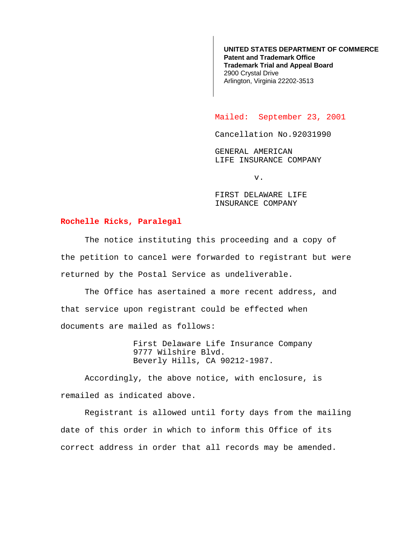**UNITED STATES DEPARTMENT OF COMMERCE Patent and Trademark Office Trademark Trial and Appeal Board** 2900 Crystal Drive Arlington, Virginia 22202-3513

Mailed: September 23, 2001

Cancellation No.92031990

GENERAL AMERICAN LIFE INSURANCE COMPANY

v.

FIRST DELAWARE LIFE INSURANCE COMPANY

## **Rochelle Ricks, Paralegal**

The notice instituting this proceeding and a copy of the petition to cancel were forwarded to registrant but were returned by the Postal Service as undeliverable.

The Office has asertained a more recent address, and that service upon registrant could be effected when documents are mailed as follows:

> First Delaware Life Insurance Company 9777 Wilshire Blvd. Beverly Hills, CA 90212-1987.

Accordingly, the above notice, with enclosure, is remailed as indicated above.

Registrant is allowed until forty days from the mailing date of this order in which to inform this Office of its correct address in order that all records may be amended.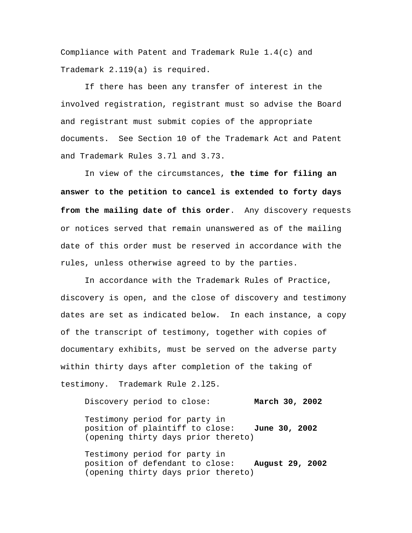Compliance with Patent and Trademark Rule 1.4(c) and Trademark 2.119(a) is required.

If there has been any transfer of interest in the involved registration, registrant must so advise the Board and registrant must submit copies of the appropriate documents. See Section 10 of the Trademark Act and Patent and Trademark Rules 3.7l and 3.73.

In view of the circumstances, **the time for filing an answer to the petition to cancel is extended to forty days from the mailing date of this order**. Any discovery requests or notices served that remain unanswered as of the mailing date of this order must be reserved in accordance with the rules, unless otherwise agreed to by the parties.

In accordance with the Trademark Rules of Practice, discovery is open, and the close of discovery and testimony dates are set as indicated below. In each instance, a copy of the transcript of testimony, together with copies of documentary exhibits, must be served on the adverse party within thirty days after completion of the taking of testimony. Trademark Rule 2.l25.

Discovery period to close: **March 30, 2002** Testimony period for party in position of plaintiff to close: **June 30, 2002** (opening thirty days prior thereto)

Testimony period for party in position of defendant to close: **August 29, 2002** (opening thirty days prior thereto)